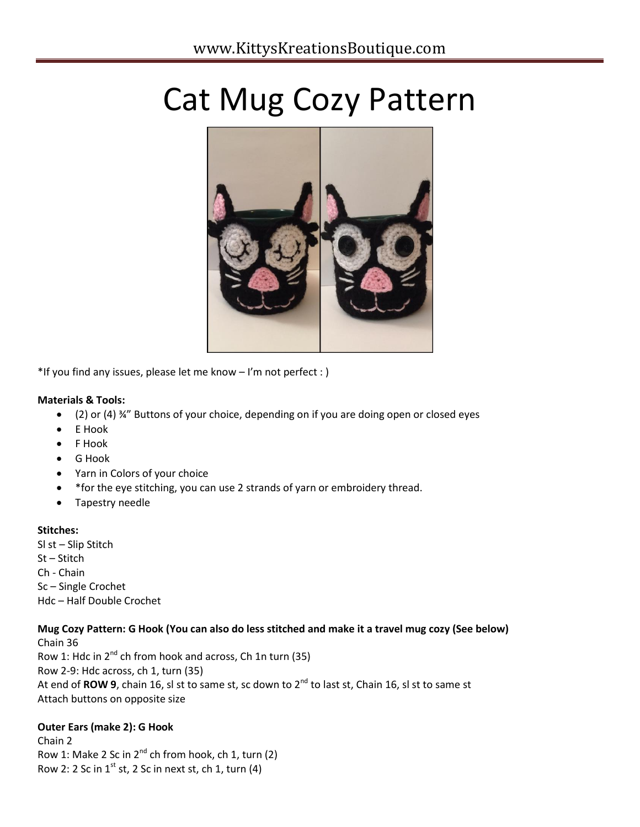# Cat Mug Cozy Pattern



\*If you find any issues, please let me know – I'm not perfect : )

#### **Materials & Tools:**

- (2) or (4) ¾" Buttons of your choice, depending on if you are doing open or closed eyes
- E Hook
- F Hook
- G Hook
- Yarn in Colors of your choice
- \*for the eye stitching, you can use 2 strands of yarn or embroidery thread.
- Tapestry needle

#### **Stitches:**

Sl st – Slip Stitch St – Stitch Ch - Chain Sc – Single Crochet Hdc – Half Double Crochet

#### **Mug Cozy Pattern: G Hook (You can also do less stitched and make it a travel mug cozy (See below)**

Chain 36 Row 1: Hdc in  $2^{nd}$  ch from hook and across, Ch 1n turn (35) Row 2-9: Hdc across, ch 1, turn (35) At end of ROW 9, chain 16, sl st to same st, sc down to 2<sup>nd</sup> to last st, Chain 16, sl st to same st Attach buttons on opposite size

#### **Outer Ears (make 2): G Hook**

Chain 2 Row 1: Make 2 Sc in  $2^{nd}$  ch from hook, ch 1, turn (2) Row 2: 2 Sc in  $1^{st}$  st, 2 Sc in next st, ch 1, turn (4)